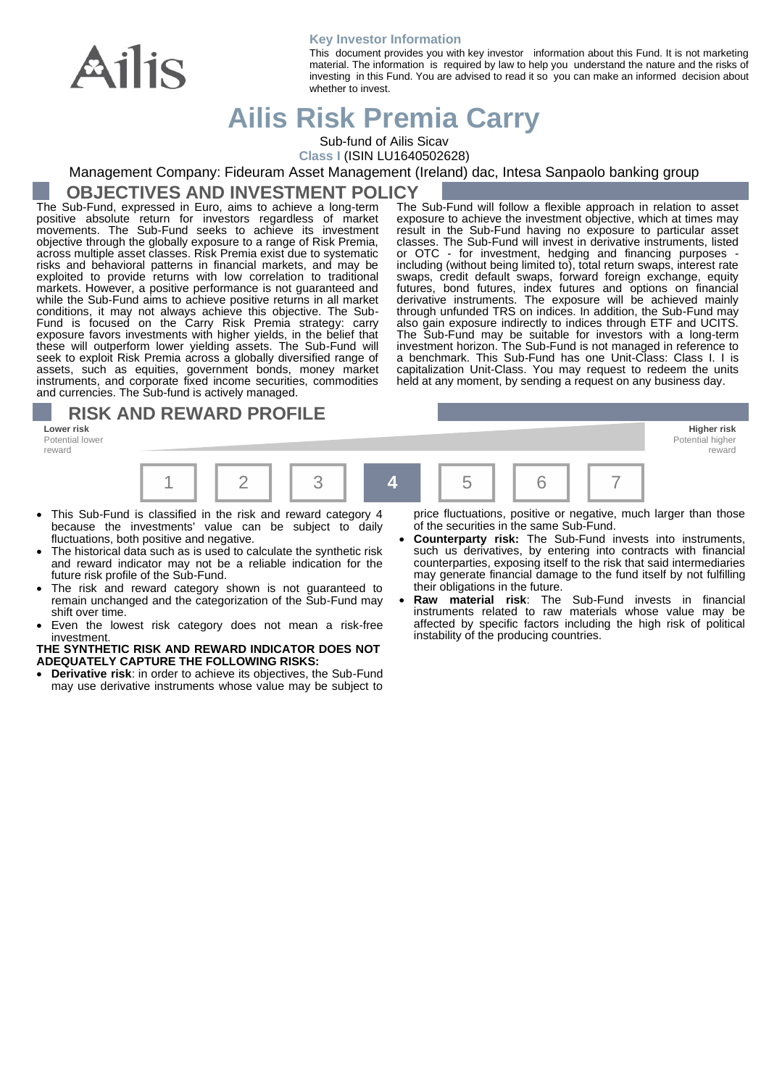

#### **Key Investor Information**

This document provides you with key investor information about this Fund. It is not marketing material. The information is required by law to help you understand the nature and the risks of investing in this Fund. You are advised to read it so you can make an informed decision about whether to invest.

# **Ailis Risk Premia Carry**

Sub-fund of Ailis Sicav

**Class I** (ISIN LU1640502628)

Management Company: Fideuram Asset Management (Ireland) dac, Intesa Sanpaolo banking group

## **OBJECTIVES AND INVESTMENT POLICY**

The Sub-Fund, expressed in Euro, aims to achieve a long-term positive absolute return for investors regardless of market movements. The Sub-Fund seeks to achieve its investment objective through the globally exposure to a range of Risk Premia, across multiple asset classes. Risk Premia exist due to systematic risks and behavioral patterns in financial markets, and may be exploited to provide returns with low correlation to traditional markets. However, a positive performance is not guaranteed and while the Sub-Fund aims to achieve positive returns in all market conditions, it may not always achieve this objective. The Sub-Fund is focused on the Carry Risk Premia strategy: carry exposure favors investments with higher yields, in the belief that these will outperform lower yielding assets. The Sub-Fund will seek to exploit Risk Premia across a globally diversified range of assets, such as equities, government bonds, money market instruments, and corporate fixed income securities, commodities and currencies. The Sub-fund is actively managed.

# **RISK AND REWARD PROFILE**

**Lower risk Higher risk** Potential lower reward



- This Sub-Fund is classified in the risk and reward category 4 because the investments' value can be subject to daily fluctuations, both positive and negative.
- The historical data such as is used to calculate the synthetic risk and reward indicator may not be a reliable indication for the future risk profile of the Sub-Fund.
- The risk and reward category shown is not guaranteed to remain unchanged and the categorization of the Sub-Fund may shift over time.
- Even the lowest risk category does not mean a risk-free investment.

#### **THE SYNTHETIC RISK AND REWARD INDICATOR DOES NOT ADEQUATELY CAPTURE THE FOLLOWING RISKS:**

• **Derivative risk**: in order to achieve its objectives, the Sub-Fund may use derivative instruments whose value may be subject to

or OTC - for investment, hedging and financing purposes including (without being limited to), total return swaps, interest rate swaps, credit default swaps, forward foreign exchange, equity futures, bond futures, index futures and options on financial derivative instruments. The exposure will be achieved mainly through unfunded TRS on indices. In addition, the Sub-Fund may also gain exposure indirectly to indices through ETF and UCITS. The Sub-Fund may be suitable for investors with a long-term investment horizon. The Sub-Fund is not managed in reference to a benchmark. This Sub-Fund has one Unit-Class: Class I. I is capitalization Unit-Class. You may request to redeem the units held at any moment, by sending a request on any business day.

The Sub-Fund will follow a flexible approach in relation to asset exposure to achieve the investment objective, which at times may result in the Sub-Fund having no exposure to particular asset classes. The Sub-Fund will invest in derivative instruments, listed

> Potential highe reward

price fluctuations, positive or negative, much larger than those of the securities in the same Sub-Fund.

- **Counterparty risk:** The Sub-Fund invests into instruments, such us derivatives, by entering into contracts with financial counterparties, exposing itself to the risk that said intermediaries may generate financial damage to the fund itself by not fulfilling their obligations in the future.
- **Raw material risk**: The Sub-Fund invests in financial instruments related to raw materials whose value may be affected by specific factors including the high risk of political instability of the producing countries.